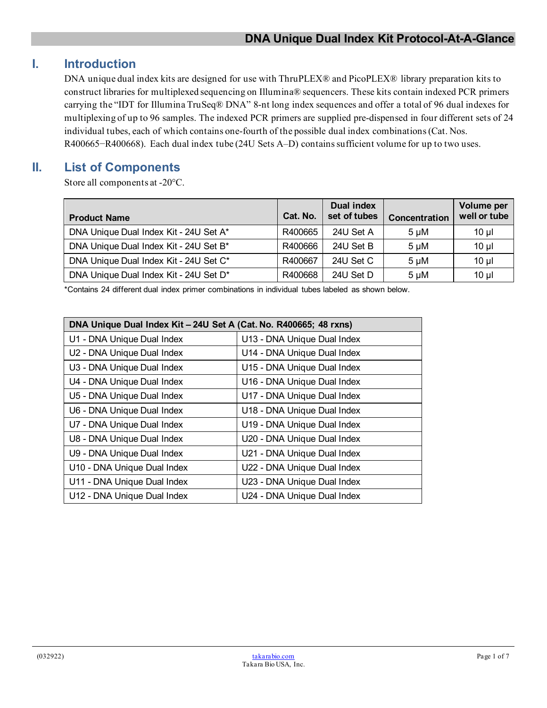## **I. Introduction**

DNA unique dual index kits are designed for use with ThruPLEX® and PicoPLEX® library preparation kits to construct libraries for multiplexed sequencing on Illumina® sequencers. These kits contain indexed PCR primers carrying the "IDT for Illumina TruSeq® DNA" 8-nt long index sequences and offer a total of 96 dual indexes for multiplexing of up to 96 samples. The indexed PCR primers are supplied pre-dispensed in four different sets of 24 individual tubes, each of which contains one-fourth of the possible dual index combinations(Cat. Nos. R400665−R400668). Each dual index tube (24U Sets A–D) containssufficient volume for up to two uses.

## **II. List of Components**

Store all components at -20°C.

| <b>Product Name</b>                    | Cat. No. | <b>Dual index</b><br>set of tubes | <b>Concentration</b> | Volume per<br>well or tube |
|----------------------------------------|----------|-----------------------------------|----------------------|----------------------------|
| DNA Unique Dual Index Kit - 24U Set A* | R400665  | 24U Set A                         | $5 \mu M$            | $10 \mu$                   |
| DNA Unique Dual Index Kit - 24U Set B* | R400666  | 24U Set B                         | $5 \mu M$            | $10 \mu$                   |
| DNA Unique Dual Index Kit - 24U Set C* | R400667  | 24U Set C                         | $5 \mu M$            | $10 \mu$                   |
| DNA Unique Dual Index Kit - 24U Set D* | R400668  | 24U Set D                         | $5 \mu M$            | $10 \mu$                   |

\*Contains 24 different dual index primer combinations in individual tubes labeled as shown below.

| DNA Unique Dual Index Kit - 24U Set A (Cat. No. R400665; 48 rxns) |                             |  |
|-------------------------------------------------------------------|-----------------------------|--|
| U1 - DNA Unique Dual Index                                        | U13 - DNA Unique Dual Index |  |
| U2 - DNA Unique Dual Index                                        | U14 - DNA Unique Dual Index |  |
| U3 - DNA Unique Dual Index                                        | U15 - DNA Unique Dual Index |  |
| U4 - DNA Unique Dual Index                                        | U16 - DNA Unique Dual Index |  |
| U5 - DNA Unique Dual Index                                        | U17 - DNA Unique Dual Index |  |
| U6 - DNA Unique Dual Index                                        | U18 - DNA Unique Dual Index |  |
| U7 - DNA Unique Dual Index                                        | U19 - DNA Unique Dual Index |  |
| U8 - DNA Unique Dual Index                                        | U20 - DNA Unique Dual Index |  |
| U9 - DNA Unique Dual Index                                        | U21 - DNA Unique Dual Index |  |
| U10 - DNA Unique Dual Index                                       | U22 - DNA Unique Dual Index |  |
| U11 - DNA Unique Dual Index                                       | U23 - DNA Unique Dual Index |  |
| U12 - DNA Unique Dual Index                                       | U24 - DNA Unique Dual Index |  |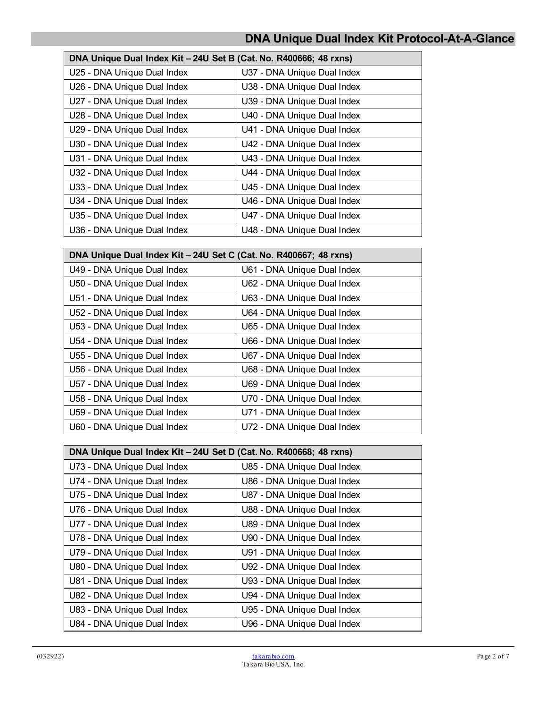| DNA Unique Dual Index Kit - 24U Set B (Cat. No. R400666; 48 rxns) |                             |  |
|-------------------------------------------------------------------|-----------------------------|--|
| U25 - DNA Unique Dual Index                                       | U37 - DNA Unique Dual Index |  |
| U26 - DNA Unique Dual Index                                       | U38 - DNA Unique Dual Index |  |
| U27 - DNA Unique Dual Index                                       | U39 - DNA Unique Dual Index |  |
| U28 - DNA Unique Dual Index                                       | U40 - DNA Unique Dual Index |  |
| U29 - DNA Unique Dual Index                                       | U41 - DNA Unique Dual Index |  |
| U30 - DNA Unique Dual Index                                       | U42 - DNA Unique Dual Index |  |
| U31 - DNA Unique Dual Index                                       | U43 - DNA Unique Dual Index |  |
| U32 - DNA Unique Dual Index                                       | U44 - DNA Unique Dual Index |  |
| U33 - DNA Unique Dual Index                                       | U45 - DNA Unique Dual Index |  |
| U34 - DNA Unique Dual Index                                       | U46 - DNA Unique Dual Index |  |
| U35 - DNA Unique Dual Index                                       | U47 - DNA Unique Dual Index |  |
| U36 - DNA Unique Dual Index                                       | U48 - DNA Unique Dual Index |  |

| DNA Unique Dual Index Kit - 24U Set C (Cat. No. R400667; 48 rxns) |                             |  |
|-------------------------------------------------------------------|-----------------------------|--|
| U49 - DNA Unique Dual Index                                       | U61 - DNA Unique Dual Index |  |
| U50 - DNA Unique Dual Index                                       | U62 - DNA Unique Dual Index |  |
| U51 - DNA Unique Dual Index                                       | U63 - DNA Unique Dual Index |  |
| U52 - DNA Unique Dual Index                                       | U64 - DNA Unique Dual Index |  |
| U53 - DNA Unique Dual Index                                       | U65 - DNA Unique Dual Index |  |
| U54 - DNA Unique Dual Index                                       | U66 - DNA Unique Dual Index |  |
| U55 - DNA Unique Dual Index                                       | U67 - DNA Unique Dual Index |  |
| U56 - DNA Unique Dual Index                                       | U68 - DNA Unique Dual Index |  |
| U57 - DNA Unique Dual Index                                       | U69 - DNA Unique Dual Index |  |
| U58 - DNA Unique Dual Index                                       | U70 - DNA Unique Dual Index |  |
| U59 - DNA Unique Dual Index                                       | U71 - DNA Unique Dual Index |  |
| U60 - DNA Unique Dual Index                                       | U72 - DNA Unique Dual Index |  |

| DNA Unique Dual Index Kit - 24U Set D (Cat. No. R400668; 48 rxns) |                             |  |
|-------------------------------------------------------------------|-----------------------------|--|
| U73 - DNA Unique Dual Index                                       | U85 - DNA Unique Dual Index |  |
| U74 - DNA Unique Dual Index                                       | U86 - DNA Unique Dual Index |  |
| U75 - DNA Unique Dual Index                                       | U87 - DNA Unique Dual Index |  |
| U76 - DNA Unique Dual Index                                       | U88 - DNA Unique Dual Index |  |
| U77 - DNA Unique Dual Index                                       | U89 - DNA Unique Dual Index |  |
| U78 - DNA Unique Dual Index                                       | U90 - DNA Unique Dual Index |  |
| U79 - DNA Unique Dual Index                                       | U91 - DNA Unique Dual Index |  |
| U80 - DNA Unique Dual Index                                       | U92 - DNA Unique Dual Index |  |
| U81 - DNA Unique Dual Index                                       | U93 - DNA Unique Dual Index |  |
| U82 - DNA Unique Dual Index                                       | U94 - DNA Unique Dual Index |  |
| U83 - DNA Unique Dual Index                                       | U95 - DNA Unique Dual Index |  |
| U84 - DNA Unique Dual Index                                       | U96 - DNA Unique Dual Index |  |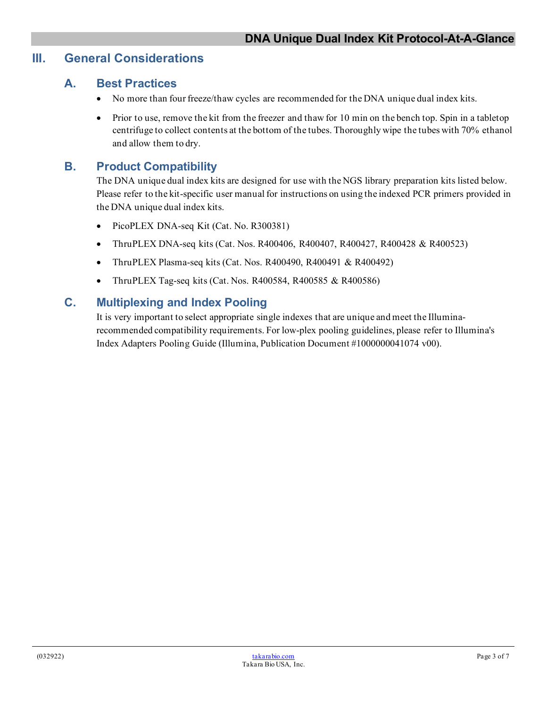## **III. General Considerations**

### **A. Best Practices**

- No more than four freeze/thaw cycles are recommended for the DNA unique dual index kits.
- Prior to use, remove the kit from the freezer and thaw for 10 min on the bench top. Spin in a tabletop centrifuge to collect contents at the bottom of the tubes. Thoroughly wipe the tubes with 70% ethanol and allow them to dry.

## **B. Product Compatibility**

The DNA unique dual index kits are designed for use with the NGS library preparation kits listed below. Please refer to the kit-specific user manual for instructions on using the indexed PCR primers provided in the DNA unique dual index kits.

- PicoPLEX DNA-seq Kit (Cat. No. R300381)
- ThruPLEX DNA-seq kits (Cat. Nos. R400406, R400407, R400427, R400428 & R400523)
- ThruPLEX Plasma-seq kits (Cat. Nos. R400490, R400491 & R400492)
- ThruPLEX Tag-seq kits (Cat. Nos. R400584, R400585 & R400586)

## **C. Multiplexing and Index Pooling**

It is very important to select appropriate single indexes that are unique and meet the Illuminarecommended compatibility requirements. For low-plex pooling guidelines, please refer to Illumina's Index Adapters Pooling Guide (Illumina, Publication Document #1000000041074 v00).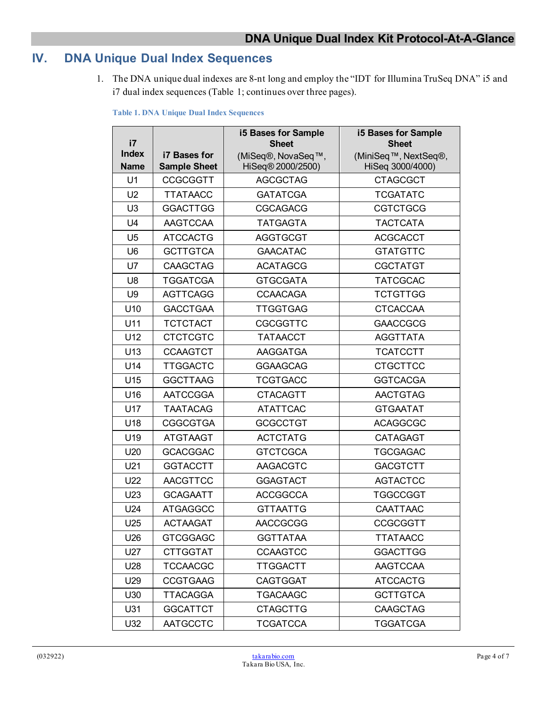## **IV. DNA Unique Dual Index Sequences**

1. The DNA unique dual indexes are 8-nt long and employ the "IDT for Illumina TruSeq DNA" i5 and i7 dual index sequences (Table 1; continues over three pages).

**Table 1. DNA Unique Dual Index Sequences**

| i7              |                     | <b>i5 Bases for Sample</b><br><b>Sheet</b> | <b>i5 Bases for Sample</b><br><b>Sheet</b> |
|-----------------|---------------------|--------------------------------------------|--------------------------------------------|
| <b>Index</b>    | <b>i7 Bases for</b> | (MiSeq®, NovaSeq™,                         | (MiniSeq <sup>™</sup> , NextSeq®,          |
| <b>Name</b>     | <b>Sample Sheet</b> | HiSeq® 2000/2500)                          | HiSeq 3000/4000)                           |
| U <sub>1</sub>  | <b>CCGCGGTT</b>     | <b>AGCGCTAG</b>                            | <b>CTAGCGCT</b>                            |
| U <sub>2</sub>  | <b>TTATAACC</b>     | <b>GATATCGA</b>                            | <b>TCGATATC</b>                            |
| U <sub>3</sub>  | <b>GGACTTGG</b>     | <b>CGCAGACG</b>                            | <b>CGTCTGCG</b>                            |
| U4              | <b>AAGTCCAA</b>     | <b>TATGAGTA</b>                            | <b>TACTCATA</b>                            |
| U <sub>5</sub>  | <b>ATCCACTG</b>     | <b>AGGTGCGT</b>                            | <b>ACGCACCT</b>                            |
| U <sub>6</sub>  | <b>GCTTGTCA</b>     | <b>GAACATAC</b>                            | <b>GTATGTTC</b>                            |
| U7              | <b>CAAGCTAG</b>     | <b>ACATAGCG</b>                            | <b>CGCTATGT</b>                            |
| U8              | <b>TGGATCGA</b>     | <b>GTGCGATA</b>                            | <b>TATCGCAC</b>                            |
| U9              | <b>AGTTCAGG</b>     | <b>CCAACAGA</b>                            | <b>TCTGTTGG</b>                            |
| U <sub>10</sub> | <b>GACCTGAA</b>     | <b>TTGGTGAG</b>                            | <b>CTCACCAA</b>                            |
| U11             | <b>TCTCTACT</b>     | <b>CGCGGTTC</b>                            | <b>GAACCGCG</b>                            |
| U12             | <b>CTCTCGTC</b>     | <b>TATAACCT</b>                            | <b>AGGTTATA</b>                            |
| U13             | <b>CCAAGTCT</b>     | AAGGATGA                                   | <b>TCATCCTT</b>                            |
| U14             | <b>TTGGACTC</b>     | <b>GGAAGCAG</b>                            | <b>CTGCTTCC</b>                            |
| U15             | <b>GGCTTAAG</b>     | <b>TCGTGACC</b>                            | <b>GGTCACGA</b>                            |
| U16             | <b>AATCCGGA</b>     | <b>CTACAGTT</b>                            | <b>AACTGTAG</b>                            |
| U17             | <b>TAATACAG</b>     | <b>ATATTCAC</b>                            | <b>GTGAATAT</b>                            |
| U18             | <b>CGGCGTGA</b>     | <b>GCGCCTGT</b>                            | <b>ACAGGCGC</b>                            |
| U <sub>19</sub> | <b>ATGTAAGT</b>     | <b>ACTCTATG</b>                            | <b>CATAGAGT</b>                            |
| U20             | <b>GCACGGAC</b>     | <b>GTCTCGCA</b>                            | <b>TGCGAGAC</b>                            |
| U21             | <b>GGTACCTT</b>     | AAGACGTC                                   | <b>GACGTCTT</b>                            |
| U22             | <b>AACGTTCC</b>     | <b>GGAGTACT</b>                            | <b>AGTACTCC</b>                            |
| U23             | <b>GCAGAATT</b>     | <b>ACCGGCCA</b>                            | <b>TGGCCGGT</b>                            |
| U24             | <b>ATGAGGCC</b>     | <b>GTTAATTG</b>                            | <b>CAATTAAC</b>                            |
| U25             | <b>ACTAAGAT</b>     | <b>AACCGCGG</b>                            | <b>CCGCGGTT</b>                            |
| U26             | <b>GTCGGAGC</b>     | <b>GGTTATAA</b>                            | <b>TTATAACC</b>                            |
| U27             | <b>CTTGGTAT</b>     | <b>CCAAGTCC</b>                            | <b>GGACTTGG</b>                            |
| U28             | <b>TCCAACGC</b>     | <b>TTGGACTT</b>                            | <b>AAGTCCAA</b>                            |
| U29             | <b>CCGTGAAG</b>     | <b>CAGTGGAT</b>                            | <b>ATCCACTG</b>                            |
| U30             | TTACAGGA            | <b>TGACAAGC</b>                            | <b>GCTTGTCA</b>                            |
| U31             | <b>GGCATTCT</b>     | <b>CTAGCTTG</b>                            | <b>CAAGCTAG</b>                            |
| U32             | <b>AATGCCTC</b>     | <b>TCGATCCA</b>                            | <b>TGGATCGA</b>                            |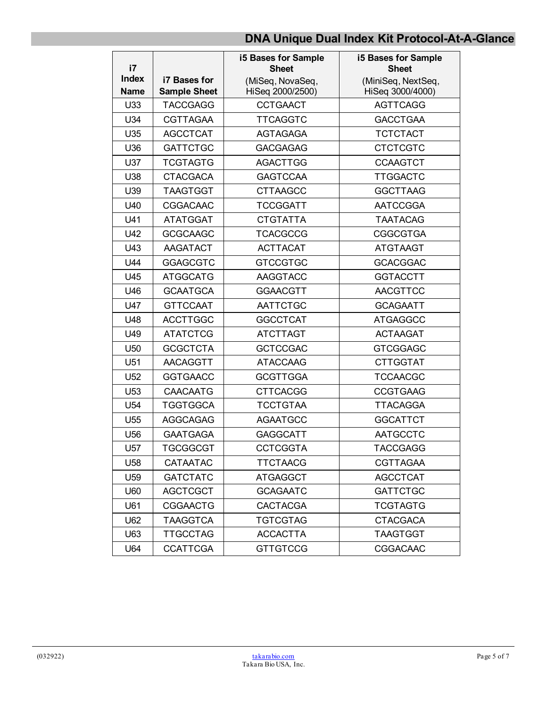| i7                          |                                            | <b>i5 Bases for Sample</b><br><b>Sheet</b> | <b>i5 Bases for Sample</b><br><b>Sheet</b> |
|-----------------------------|--------------------------------------------|--------------------------------------------|--------------------------------------------|
| <b>Index</b><br><b>Name</b> | <b>i7 Bases for</b><br><b>Sample Sheet</b> | (MiSeq, NovaSeq,<br>HiSeq 2000/2500)       | (MiniSeq, NextSeq,<br>HiSeq 3000/4000)     |
| U33                         | <b>TACCGAGG</b>                            | <b>CCTGAACT</b>                            | <b>AGTTCAGG</b>                            |
| U34                         | <b>CGTTAGAA</b>                            | <b>TTCAGGTC</b>                            | <b>GACCTGAA</b>                            |
| U35                         | <b>AGCCTCAT</b>                            | AGTAGAGA                                   | <b>TCTCTACT</b>                            |
| U36                         | <b>GATTCTGC</b>                            | <b>GACGAGAG</b>                            | <b>CTCTCGTC</b>                            |
| U37                         | <b>TCGTAGTG</b>                            | AGACTTGG                                   | <b>CCAAGTCT</b>                            |
| U38                         | <b>CTACGACA</b>                            | <b>GAGTCCAA</b>                            | <b>TTGGACTC</b>                            |
| U39                         | <b>TAAGTGGT</b>                            | <b>CTTAAGCC</b>                            | <b>GGCTTAAG</b>                            |
| U40                         | <b>CGGACAAC</b>                            | <b>TCCGGATT</b>                            | AATCCGGA                                   |
| U41                         | <b>ATATGGAT</b>                            | <b>CTGTATTA</b>                            | <b>TAATACAG</b>                            |
| U42                         | <b>GCGCAAGC</b>                            | <b>TCACGCCG</b>                            | <b>CGGCGTGA</b>                            |
| U43                         | AAGATACT                                   | <b>ACTTACAT</b>                            | <b>ATGTAAGT</b>                            |
| U44                         | <b>GGAGCGTC</b>                            | <b>GTCCGTGC</b>                            | <b>GCACGGAC</b>                            |
| U45                         | <b>ATGGCATG</b>                            | <b>AAGGTACC</b>                            | <b>GGTACCTT</b>                            |
| U46                         | <b>GCAATGCA</b>                            | <b>GGAACGTT</b>                            | <b>AACGTTCC</b>                            |
| U47                         | <b>GTTCCAAT</b>                            | AATTCTGC                                   | <b>GCAGAATT</b>                            |
| U48                         | <b>ACCTTGGC</b>                            | <b>GGCCTCAT</b>                            | <b>ATGAGGCC</b>                            |
| U49                         | <b>ATATCTCG</b>                            | <b>ATCTTAGT</b>                            | <b>ACTAAGAT</b>                            |
| U50                         | <b>GCGCTCTA</b>                            | <b>GCTCCGAC</b>                            | <b>GTCGGAGC</b>                            |
| U51                         | <b>AACAGGTT</b>                            | <b>ATACCAAG</b>                            | <b>CTTGGTAT</b>                            |
| U <sub>52</sub>             | <b>GGTGAACC</b>                            | <b>GCGTTGGA</b>                            | <b>TCCAACGC</b>                            |
| U <sub>53</sub>             | <b>CAACAATG</b>                            | <b>CTTCACGG</b>                            | <b>CCGTGAAG</b>                            |
| U <sub>54</sub>             | <b>TGGTGGCA</b>                            | <b>TCCTGTAA</b>                            | <b>TTACAGGA</b>                            |
| U <sub>55</sub>             | <b>AGGCAGAG</b>                            | <b>AGAATGCC</b>                            | <b>GGCATTCT</b>                            |
| U <sub>56</sub>             | <b>GAATGAGA</b>                            | <b>GAGGCATT</b>                            | <b>AATGCCTC</b>                            |
| U57                         | <b>TGCGGCGT</b>                            | <b>CCTCGGTA</b>                            | <b>TACCGAGG</b>                            |
| U58                         | <b>CATAATAC</b>                            | <b>TTCTAACG</b>                            | <b>CGTTAGAA</b>                            |
| U <sub>59</sub>             | <b>GATCTATC</b>                            | <b>ATGAGGCT</b>                            | <b>AGCCTCAT</b>                            |
| U60                         | <b>AGCTCGCT</b>                            | <b>GCAGAATC</b>                            | <b>GATTCTGC</b>                            |
| U61                         | <b>CGGAACTG</b>                            | <b>CACTACGA</b>                            | <b>TCGTAGTG</b>                            |
| U62                         | <b>TAAGGTCA</b>                            | <b>TGTCGTAG</b>                            | <b>CTACGACA</b>                            |
| U63                         | <b>TTGCCTAG</b>                            | <b>ACCACTTA</b>                            | <b>TAAGTGGT</b>                            |
| U64                         | <b>CCATTCGA</b>                            | <b>GTTGTCCG</b>                            | <b>CGGACAAC</b>                            |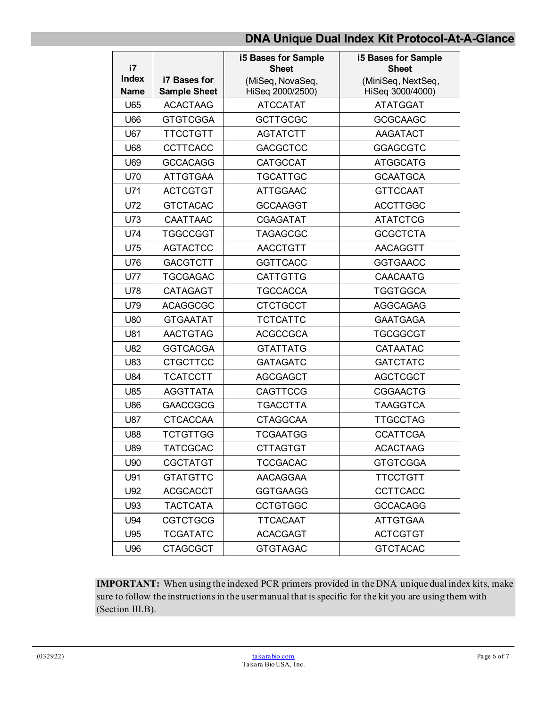| i7                          |                                     | <b>i5 Bases for Sample</b><br><b>Sheet</b> | i5 Bases for Sample<br><b>Sheet</b>    |
|-----------------------------|-------------------------------------|--------------------------------------------|----------------------------------------|
| <b>Index</b><br><b>Name</b> | i7 Bases for<br><b>Sample Sheet</b> | (MiSeq, NovaSeq,<br>HiSeq 2000/2500)       | (MiniSeq, NextSeq,<br>HiSeq 3000/4000) |
| U65                         | <b>ACACTAAG</b>                     | <b>ATCCATAT</b>                            | <b>ATATGGAT</b>                        |
| U66                         | <b>GTGTCGGA</b>                     | <b>GCTTGCGC</b>                            | <b>GCGCAAGC</b>                        |
| U67                         | <b>TTCCTGTT</b>                     | <b>AGTATCTT</b>                            | AAGATACT                               |
| U68                         | <b>CCTTCACC</b>                     | <b>GACGCTCC</b>                            | <b>GGAGCGTC</b>                        |
| U69                         | <b>GCCACAGG</b>                     | <b>CATGCCAT</b>                            | <b>ATGGCATG</b>                        |
| U70                         | <b>ATTGTGAA</b>                     | <b>TGCATTGC</b>                            | <b>GCAATGCA</b>                        |
| U71                         | <b>ACTCGTGT</b>                     | <b>ATTGGAAC</b>                            | <b>GTTCCAAT</b>                        |
| U72                         | <b>GTCTACAC</b>                     | <b>GCCAAGGT</b>                            | <b>ACCTTGGC</b>                        |
| U73                         | <b>CAATTAAC</b>                     | <b>CGAGATAT</b>                            | <b>ATATCTCG</b>                        |
| U74                         | <b>TGGCCGGT</b>                     | <b>TAGAGCGC</b>                            | <b>GCGCTCTA</b>                        |
| U75                         | <b>AGTACTCC</b>                     | <b>AACCTGTT</b>                            | AACAGGTT                               |
| U76                         | <b>GACGTCTT</b>                     | <b>GGTTCACC</b>                            | <b>GGTGAACC</b>                        |
| <b>U77</b>                  | <b>TGCGAGAC</b>                     | <b>CATTGTTG</b>                            | <b>CAACAATG</b>                        |
| U78                         | <b>CATAGAGT</b>                     | <b>TGCCACCA</b>                            | TGGTGGCA                               |
| U79                         | <b>ACAGGCGC</b>                     | <b>CTCTGCCT</b>                            | <b>AGGCAGAG</b>                        |
| U80                         | <b>GTGAATAT</b>                     | <b>TCTCATTC</b>                            | <b>GAATGAGA</b>                        |
| U81                         | <b>AACTGTAG</b>                     | <b>ACGCCGCA</b>                            | TGCGGCGT                               |
| U82                         | <b>GGTCACGA</b>                     | <b>GTATTATG</b>                            | CATAATAC                               |
| U83                         | <b>CTGCTTCC</b>                     | <b>GATAGATC</b>                            | <b>GATCTATC</b>                        |
| U84                         | <b>TCATCCTT</b>                     | <b>AGCGAGCT</b>                            | <b>AGCTCGCT</b>                        |
| U85                         | <b>AGGTTATA</b>                     | <b>CAGTTCCG</b>                            | <b>CGGAACTG</b>                        |
| U86                         | <b>GAACCGCG</b>                     | <b>TGACCTTA</b>                            | <b>TAAGGTCA</b>                        |
| U87                         | <b>CTCACCAA</b>                     | <b>CTAGGCAA</b>                            | <b>TTGCCTAG</b>                        |
| U88                         | <b>TCTGTTGG</b>                     | <b>TCGAATGG</b>                            | <b>CCATTCGA</b>                        |
| U89                         | <b>TATCGCAC</b>                     | <b>CTTAGTGT</b>                            | <b>ACACTAAG</b>                        |
| U90                         | <b>CGCTATGT</b>                     | <b>TCCGACAC</b>                            | <b>GTGTCGGA</b>                        |
| U91                         | <b>GTATGTTC</b>                     | AACAGGAA                                   | <b>TTCCTGTT</b>                        |
| U92                         | <b>ACGCACCT</b>                     | <b>GGTGAAGG</b>                            | <b>CCTTCACC</b>                        |
| U93                         | <b>TACTCATA</b>                     | <b>CCTGTGGC</b>                            | <b>GCCACAGG</b>                        |
| U94                         | <b>CGTCTGCG</b>                     | <b>TTCACAAT</b>                            | <b>ATTGTGAA</b>                        |
| U95                         | <b>TCGATATC</b>                     | <b>ACACGAGT</b>                            | <b>ACTCGTGT</b>                        |
| U96                         | <b>CTAGCGCT</b>                     | <b>GTGTAGAC</b>                            | <b>GTCTACAC</b>                        |

**IMPORTANT:** When using the indexed PCR primers provided in the DNA unique dual index kits, make sure to follow the instructions in the user manual that is specific for the kit you are using them with (Section III.B).